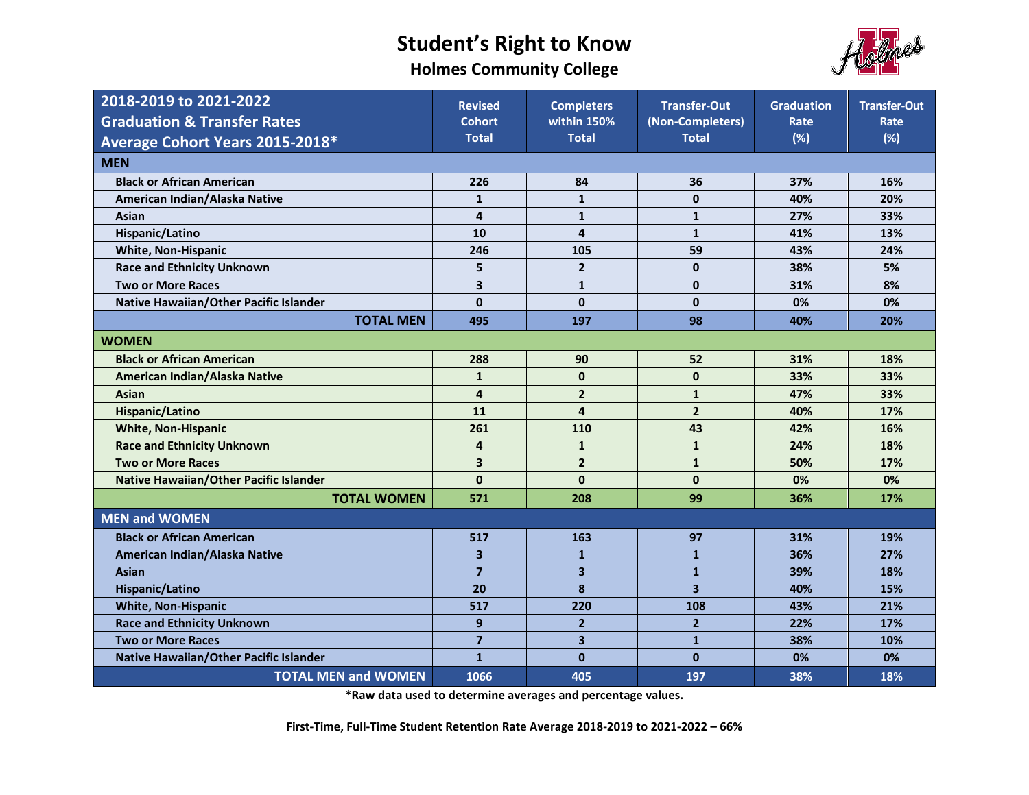**Holmes Community College**



| 2018-2019 to 2021-2022                        | <b>Revised</b>          | <b>Completers</b>       | <b>Transfer-Out</b>     | <b>Graduation</b> | <b>Transfer-Out</b> |
|-----------------------------------------------|-------------------------|-------------------------|-------------------------|-------------------|---------------------|
| <b>Graduation &amp; Transfer Rates</b>        | <b>Cohort</b>           | within 150%             | (Non-Completers)        |                   | Rate                |
| Average Cohort Years 2015-2018*               | <b>Total</b>            | <b>Total</b>            | <b>Total</b>            | (%)               | (%)                 |
| <b>MEN</b>                                    |                         |                         |                         |                   |                     |
| <b>Black or African American</b>              | 226                     | 84                      | 36                      | 37%               | 16%                 |
| American Indian/Alaska Native                 | $\mathbf{1}$            | $\mathbf{1}$            | $\mathbf 0$             | 40%               | 20%                 |
| Asian                                         | 4                       | $\mathbf{1}$            | $\mathbf{1}$            | 27%               | 33%                 |
| Hispanic/Latino                               | 10                      | $\overline{\mathbf{4}}$ | $\mathbf{1}$            | 41%               | 13%                 |
| <b>White, Non-Hispanic</b>                    | 246                     | 105                     | 59                      | 43%               | 24%                 |
| <b>Race and Ethnicity Unknown</b>             | 5                       | $\overline{2}$          | $\mathbf 0$             | 38%               | 5%                  |
| <b>Two or More Races</b>                      | $\overline{\mathbf{3}}$ | $\mathbf{1}$            | $\mathbf 0$             | 31%               | 8%                  |
| Native Hawaiian/Other Pacific Islander        | $\mathbf{0}$            | $\mathbf 0$             | $\mathbf 0$             | 0%                | 0%                  |
| <b>TOTAL MEN</b>                              | 495                     | 197                     | 98                      | 40%               | 20%                 |
| <b>WOMEN</b>                                  |                         |                         |                         |                   |                     |
| <b>Black or African American</b>              | 288                     | 90                      | 52                      | 31%               | 18%                 |
| American Indian/Alaska Native                 | $\mathbf{1}$            | $\mathbf 0$             | $\mathbf{0}$            | 33%               | 33%                 |
| <b>Asian</b>                                  | $\overline{\mathbf{4}}$ | $\overline{2}$          | $\mathbf{1}$            | 47%               | 33%                 |
| Hispanic/Latino                               | 11                      | $\overline{\mathbf{4}}$ | $\overline{2}$          | 40%               | 17%                 |
| <b>White, Non-Hispanic</b>                    | 261                     | 110                     | 43                      | 42%               | 16%                 |
| <b>Race and Ethnicity Unknown</b>             | 4                       | $\mathbf{1}$            | $\mathbf{1}$            | 24%               | 18%                 |
| <b>Two or More Races</b>                      | 3                       | $\overline{2}$          | $\mathbf{1}$            | 50%               | 17%                 |
| <b>Native Hawaiian/Other Pacific Islander</b> | $\mathbf{0}$            | $\mathbf 0$             | $\mathbf{0}$            | 0%                | 0%                  |
| <b>TOTAL WOMEN</b>                            | 571                     | 208                     | 99                      | 36%               | 17%                 |
| <b>MEN and WOMEN</b>                          |                         |                         |                         |                   |                     |
| <b>Black or African American</b>              | 517                     | 163                     | 97                      | 31%               | 19%                 |
| American Indian/Alaska Native                 | 3                       | $\mathbf{1}$            | $\mathbf{1}$            | 36%               | 27%                 |
| <b>Asian</b>                                  | $\overline{7}$          | 3                       | $\mathbf{1}$            | 39%               | 18%                 |
| <b>Hispanic/Latino</b>                        | 20                      | 8                       | $\overline{\mathbf{3}}$ | 40%               | 15%                 |
| <b>White, Non-Hispanic</b>                    | 517                     | 220                     | 108                     | 43%               | 21%                 |
| <b>Race and Ethnicity Unknown</b>             | 9                       | $\overline{2}$          | $\overline{2}$          | 22%               | 17%                 |
| <b>Two or More Races</b>                      | $\overline{\mathbf{z}}$ | $\overline{\mathbf{3}}$ | $\mathbf{1}$            | 38%               | 10%                 |
| Native Hawaiian/Other Pacific Islander        | $\mathbf{1}$            | $\mathbf 0$             | $\mathbf 0$             | 0%                | 0%                  |
| <b>TOTAL MEN and WOMEN</b>                    | 1066                    | 405                     | 197                     | 38%               | 18%                 |

**\*Raw data used to determine averages and percentage values.**

**First-Time, Full-Time Student Retention Rate Average 2018-2019 to 2021-2022 – 66%**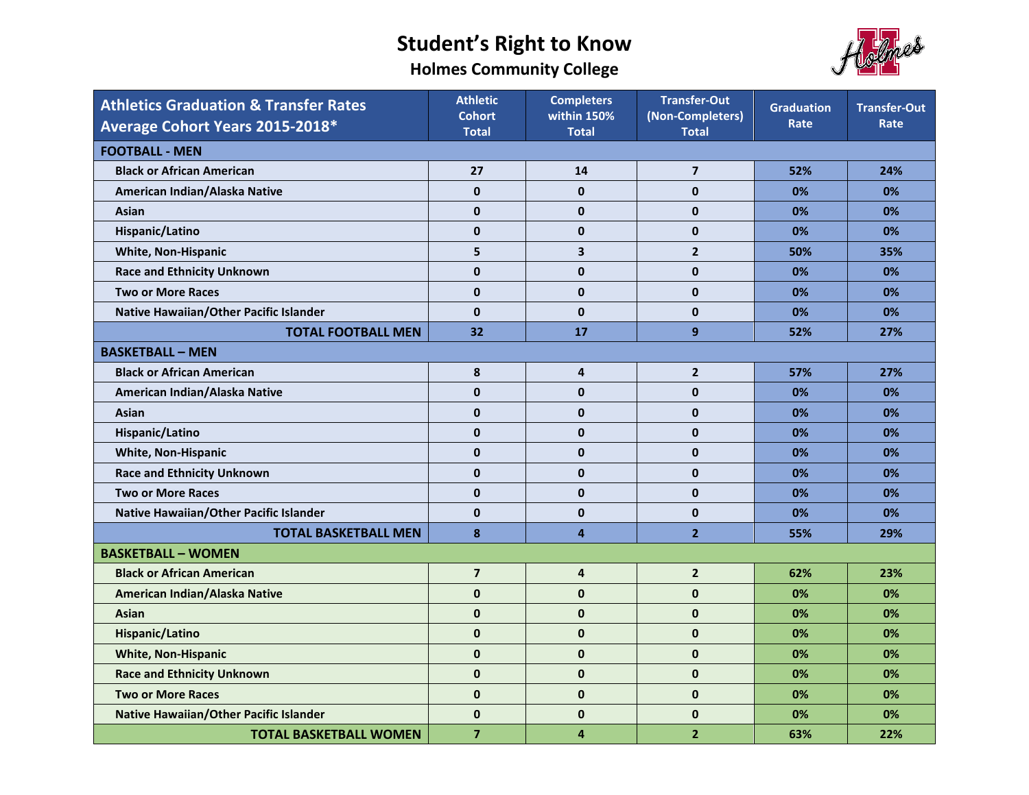**Holmes Community College**



| <b>Athletics Graduation &amp; Transfer Rates</b><br>Average Cohort Years 2015-2018* | <b>Athletic</b><br><b>Cohort</b><br><b>Total</b> | <b>Completers</b><br>within 150%<br><b>Total</b> | <b>Transfer-Out</b><br>(Non-Completers)<br><b>Total</b> | <b>Graduation</b><br>Rate | <b>Transfer-Out</b><br>Rate |  |  |
|-------------------------------------------------------------------------------------|--------------------------------------------------|--------------------------------------------------|---------------------------------------------------------|---------------------------|-----------------------------|--|--|
| <b>FOOTBALL - MEN</b>                                                               |                                                  |                                                  |                                                         |                           |                             |  |  |
| <b>Black or African American</b>                                                    | 27                                               | 14                                               | $\overline{7}$                                          | 52%                       | 24%                         |  |  |
| American Indian/Alaska Native                                                       | $\mathbf{0}$                                     | $\mathbf{0}$                                     | $\mathbf 0$                                             | 0%                        | 0%                          |  |  |
| Asian                                                                               | $\mathbf{0}$                                     | $\mathbf{0}$                                     | $\mathbf{0}$                                            | 0%                        | 0%                          |  |  |
| Hispanic/Latino                                                                     | $\mathbf{0}$                                     | $\mathbf 0$                                      | $\mathbf 0$                                             | 0%                        | 0%                          |  |  |
| <b>White, Non-Hispanic</b>                                                          | 5                                                | 3                                                | $\mathbf{2}$                                            | 50%                       | 35%                         |  |  |
| <b>Race and Ethnicity Unknown</b>                                                   | $\mathbf{0}$                                     | $\pmb{0}$                                        | $\pmb{0}$                                               | 0%                        | 0%                          |  |  |
| <b>Two or More Races</b>                                                            | $\mathbf{0}$                                     | $\mathbf{0}$                                     | $\mathbf{0}$                                            | 0%                        | 0%                          |  |  |
| Native Hawaiian/Other Pacific Islander                                              | $\mathbf{0}$                                     | $\mathbf{0}$                                     | $\mathbf{0}$                                            | 0%                        | 0%                          |  |  |
| <b>TOTAL FOOTBALL MEN</b>                                                           | 32                                               | 17                                               | 9                                                       | 52%                       | 27%                         |  |  |
| <b>BASKETBALL - MEN</b>                                                             |                                                  |                                                  |                                                         |                           |                             |  |  |
| <b>Black or African American</b>                                                    | 8                                                | 4                                                | $\mathbf{2}$                                            | 57%                       | 27%                         |  |  |
| American Indian/Alaska Native                                                       | $\mathbf{0}$                                     | $\mathbf{0}$                                     | $\mathbf{0}$                                            | 0%                        | 0%                          |  |  |
| Asian                                                                               | 0                                                | $\pmb{0}$                                        | $\mathbf 0$                                             | 0%                        | 0%                          |  |  |
| Hispanic/Latino                                                                     | $\mathbf{0}$                                     | $\mathbf 0$                                      | $\mathbf 0$                                             | 0%                        | 0%                          |  |  |
| <b>White, Non-Hispanic</b>                                                          | $\mathbf 0$                                      | $\mathbf 0$                                      | $\mathbf 0$                                             | 0%                        | 0%                          |  |  |
| <b>Race and Ethnicity Unknown</b>                                                   | $\mathbf{0}$                                     | $\mathbf{0}$                                     | $\mathbf{0}$                                            | 0%                        | 0%                          |  |  |
| <b>Two or More Races</b>                                                            | $\mathbf{0}$                                     | $\mathbf{0}$                                     | $\mathbf{0}$                                            | 0%                        | 0%                          |  |  |
| Native Hawaiian/Other Pacific Islander                                              | $\mathbf{0}$                                     | $\mathbf{0}$                                     | $\mathbf{0}$                                            | 0%                        | 0%                          |  |  |
| <b>TOTAL BASKETBALL MEN</b>                                                         | 8                                                | $\overline{4}$                                   | $\overline{2}$                                          | 55%                       | 29%                         |  |  |
| <b>BASKETBALL - WOMEN</b>                                                           |                                                  |                                                  |                                                         |                           |                             |  |  |
| <b>Black or African American</b>                                                    | $\overline{\mathbf{z}}$                          | $\overline{\mathbf{4}}$                          | $\overline{2}$                                          | 62%                       | 23%                         |  |  |
| American Indian/Alaska Native                                                       | $\mathbf{0}$                                     | $\mathbf{0}$                                     | $\mathbf{0}$                                            | 0%                        | 0%                          |  |  |
| <b>Asian</b>                                                                        | $\mathbf{0}$                                     | $\mathbf{0}$                                     | $\mathbf{0}$                                            | 0%                        | 0%                          |  |  |
| Hispanic/Latino                                                                     | $\mathbf{0}$                                     | $\mathbf{0}$                                     | $\mathbf{0}$                                            | 0%                        | 0%                          |  |  |
| <b>White, Non-Hispanic</b>                                                          | $\bf{0}$                                         | $\bf{0}$                                         | $\mathbf 0$                                             | 0%                        | 0%                          |  |  |
| <b>Race and Ethnicity Unknown</b>                                                   | $\mathbf 0$                                      | $\mathbf 0$                                      | $\mathbf{0}$                                            | 0%                        | 0%                          |  |  |
| <b>Two or More Races</b>                                                            | $\mathbf{0}$                                     | $\mathbf{0}$                                     | $\mathbf{0}$                                            | 0%                        | 0%                          |  |  |
| <b>Native Hawaiian/Other Pacific Islander</b>                                       | $\mathbf{0}$                                     | $\pmb{0}$                                        | $\mathbf 0$                                             | 0%                        | 0%                          |  |  |
| <b>TOTAL BASKETBALL WOMEN</b>                                                       | $\overline{7}$                                   | 4                                                | $\overline{2}$                                          | 63%                       | 22%                         |  |  |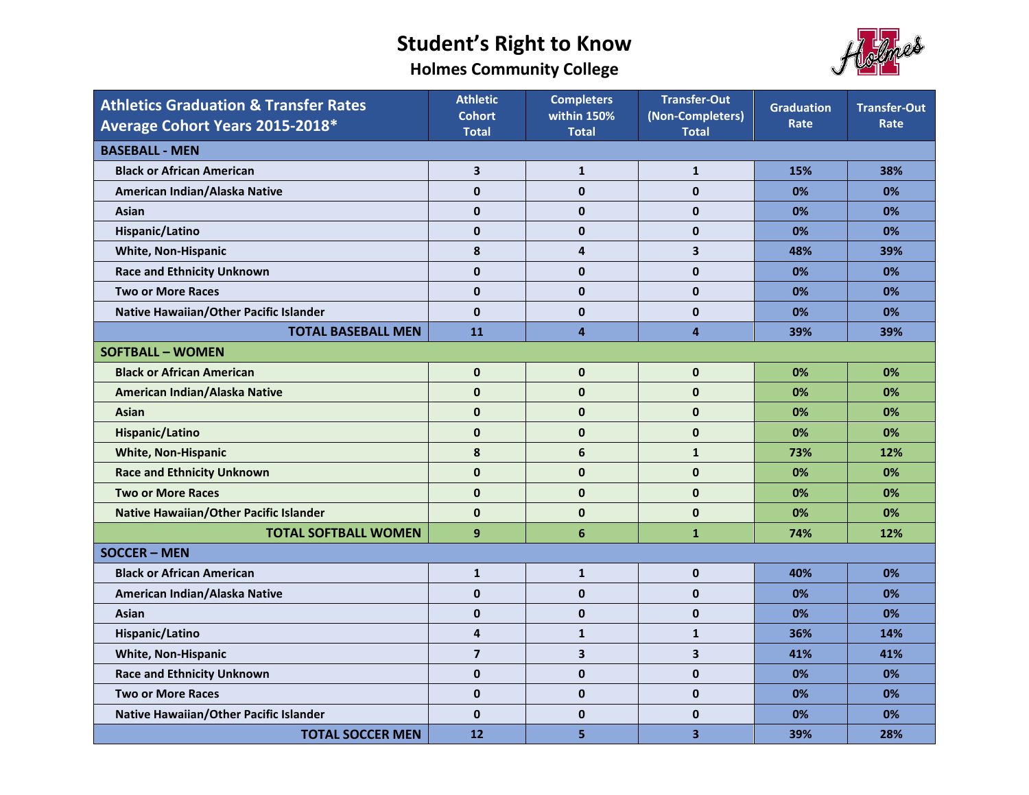**Holmes Community College**



| <b>Athletics Graduation &amp; Transfer Rates</b> | <b>Athletic</b><br><b>Cohort</b> | <b>Completers</b><br>within 150% | <b>Transfer-Out</b><br>(Non-Completers) | <b>Graduation</b><br>Rate | <b>Transfer-Out</b><br>Rate |  |  |  |
|--------------------------------------------------|----------------------------------|----------------------------------|-----------------------------------------|---------------------------|-----------------------------|--|--|--|
| Average Cohort Years 2015-2018*                  | <b>Total</b>                     | <b>Total</b>                     | <b>Total</b>                            |                           |                             |  |  |  |
| <b>BASEBALL - MEN</b>                            |                                  |                                  |                                         |                           |                             |  |  |  |
| <b>Black or African American</b>                 | $\overline{\mathbf{3}}$          | $\mathbf{1}$                     | $\mathbf{1}$                            | 15%                       | 38%                         |  |  |  |
| American Indian/Alaska Native                    | $\mathbf{0}$                     | $\mathbf{0}$                     | $\mathbf 0$                             | 0%                        | 0%                          |  |  |  |
| Asian                                            | $\mathbf{0}$                     | $\mathbf 0$                      | $\mathbf 0$                             | 0%                        | 0%                          |  |  |  |
| Hispanic/Latino                                  | $\mathbf{0}$                     | $\mathbf 0$                      | $\mathbf 0$                             | 0%                        | 0%                          |  |  |  |
| <b>White, Non-Hispanic</b>                       | 8                                | $\overline{\mathbf{4}}$          | $\overline{\mathbf{3}}$                 | 48%                       | 39%                         |  |  |  |
| <b>Race and Ethnicity Unknown</b>                | $\mathbf{0}$                     | $\pmb{0}$                        | $\mathbf 0$                             | 0%                        | 0%                          |  |  |  |
| <b>Two or More Races</b>                         | $\mathbf{0}$                     | $\mathbf{0}$                     | $\mathbf 0$                             | 0%                        | 0%                          |  |  |  |
| Native Hawaiian/Other Pacific Islander           | $\mathbf{0}$                     | $\mathbf{0}$                     | $\mathbf 0$                             | 0%                        | 0%                          |  |  |  |
| <b>TOTAL BASEBALL MEN</b>                        | 11                               | $\overline{\mathbf{4}}$          | $\overline{4}$                          | 39%                       | 39%                         |  |  |  |
| <b>SOFTBALL - WOMEN</b>                          |                                  |                                  |                                         |                           |                             |  |  |  |
| <b>Black or African American</b>                 | $\mathbf{0}$                     | $\pmb{0}$                        | $\mathbf 0$                             | 0%                        | 0%                          |  |  |  |
| American Indian/Alaska Native                    | $\mathbf{0}$                     | $\mathbf 0$                      | $\mathbf 0$                             | 0%                        | 0%                          |  |  |  |
| <b>Asian</b>                                     | $\mathbf{0}$                     | $\pmb{0}$                        | $\mathbf 0$                             | 0%                        | 0%                          |  |  |  |
| Hispanic/Latino                                  | $\mathbf{0}$                     | $\mathbf 0$                      | $\mathbf 0$                             | 0%                        | 0%                          |  |  |  |
| <b>White, Non-Hispanic</b>                       | 8                                | $6\phantom{1}$                   | $\mathbf{1}$                            | 73%                       | 12%                         |  |  |  |
| <b>Race and Ethnicity Unknown</b>                | $\mathbf{0}$                     | $\pmb{0}$                        | $\pmb{0}$                               | 0%                        | 0%                          |  |  |  |
| <b>Two or More Races</b>                         | $\mathbf{0}$                     | $\mathbf 0$                      | $\mathbf 0$                             | 0%                        | 0%                          |  |  |  |
| <b>Native Hawaiian/Other Pacific Islander</b>    | $\mathbf{0}$                     | $\pmb{0}$                        | $\mathbf 0$                             | 0%                        | 0%                          |  |  |  |
| <b>TOTAL SOFTBALL WOMEN</b>                      | 9                                | $6\phantom{1}$                   | $\mathbf{1}$                            | 74%                       | 12%                         |  |  |  |
| <b>SOCCER - MEN</b>                              |                                  |                                  |                                         |                           |                             |  |  |  |
| <b>Black or African American</b>                 | $\mathbf{1}$                     | $\mathbf{1}$                     | $\mathbf 0$                             | 40%                       | 0%                          |  |  |  |
| American Indian/Alaska Native                    | $\mathbf{0}$                     | $\mathbf{0}$                     | $\mathbf 0$                             | 0%                        | 0%                          |  |  |  |
| Asian                                            | $\mathbf{0}$                     | $\mathbf{0}$                     | $\mathbf 0$                             | 0%                        | 0%                          |  |  |  |
| Hispanic/Latino                                  | 4                                | $\mathbf{1}$                     | $\mathbf{1}$                            | 36%                       | 14%                         |  |  |  |
| <b>White, Non-Hispanic</b>                       | $\overline{7}$                   | 3                                | $\overline{\mathbf{3}}$                 | 41%                       | 41%                         |  |  |  |
| <b>Race and Ethnicity Unknown</b>                | $\mathbf{0}$                     | $\pmb{0}$                        | $\pmb{0}$                               | 0%                        | 0%                          |  |  |  |
| <b>Two or More Races</b>                         | $\mathbf{0}$                     | $\mathbf{0}$                     | $\mathbf{0}$                            | 0%                        | 0%                          |  |  |  |
| Native Hawaiian/Other Pacific Islander           | $\mathbf{0}$                     | 0                                | $\mathbf 0$                             | 0%                        | 0%                          |  |  |  |
| <b>TOTAL SOCCER MEN</b>                          | 12                               | 5                                | $\overline{\mathbf{3}}$                 | 39%                       | 28%                         |  |  |  |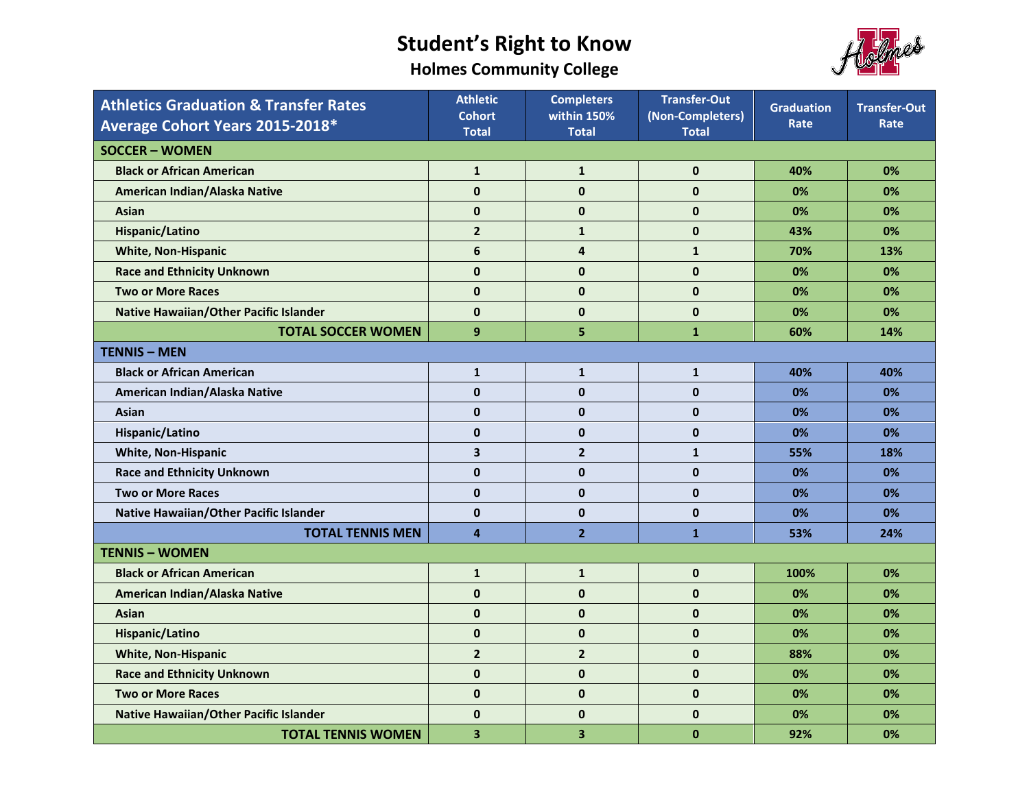**Holmes Community College**



| <b>Athletics Graduation &amp; Transfer Rates</b><br>Average Cohort Years 2015-2018* | <b>Athletic</b><br><b>Cohort</b><br><b>Total</b> | <b>Completers</b><br>within 150%<br><b>Total</b> | <b>Transfer-Out</b><br>(Non-Completers)<br><b>Total</b> | <b>Graduation</b><br>Rate | <b>Transfer-Out</b><br>Rate |  |  |
|-------------------------------------------------------------------------------------|--------------------------------------------------|--------------------------------------------------|---------------------------------------------------------|---------------------------|-----------------------------|--|--|
| <b>SOCCER - WOMEN</b>                                                               |                                                  |                                                  |                                                         |                           |                             |  |  |
| <b>Black or African American</b>                                                    | $\mathbf{1}$                                     | $\mathbf{1}$                                     | $\mathbf{0}$                                            | 40%                       | 0%                          |  |  |
| American Indian/Alaska Native                                                       | $\mathbf{0}$                                     | $\pmb{0}$                                        | $\mathbf{0}$                                            | 0%                        | 0%                          |  |  |
| Asian                                                                               | $\mathbf 0$                                      | $\mathbf{0}$                                     | $\mathbf 0$                                             | 0%                        | 0%                          |  |  |
| Hispanic/Latino                                                                     | $\overline{\mathbf{2}}$                          | $\mathbf{1}$                                     | $\pmb{0}$                                               | 43%                       | 0%                          |  |  |
| <b>White, Non-Hispanic</b>                                                          | 6                                                | $\overline{4}$                                   | $\mathbf{1}$                                            | 70%                       | 13%                         |  |  |
| <b>Race and Ethnicity Unknown</b>                                                   | $\mathbf 0$                                      | $\pmb{0}$                                        | $\mathbf{0}$                                            | 0%                        | 0%                          |  |  |
| <b>Two or More Races</b>                                                            | $\mathbf{0}$                                     | $\bf{0}$                                         | $\bf{0}$                                                | 0%                        | 0%                          |  |  |
| <b>Native Hawaiian/Other Pacific Islander</b>                                       | $\mathbf{0}$                                     | $\pmb{0}$                                        | $\mathbf{0}$                                            | 0%                        | 0%                          |  |  |
| <b>TOTAL SOCCER WOMEN</b>                                                           | 9                                                | 5                                                | $\mathbf{1}$                                            | 60%                       | 14%                         |  |  |
| <b>TENNIS - MEN</b>                                                                 |                                                  |                                                  |                                                         |                           |                             |  |  |
| <b>Black or African American</b>                                                    | $\mathbf{1}$                                     | $\mathbf{1}$                                     | $\mathbf{1}$                                            | 40%                       | 40%                         |  |  |
| American Indian/Alaska Native                                                       | $\mathbf{0}$                                     | $\pmb{0}$                                        | $\mathbf{0}$                                            | 0%                        | 0%                          |  |  |
| Asian                                                                               | $\mathbf 0$                                      | $\pmb{0}$                                        | $\bf{0}$                                                | 0%                        | 0%                          |  |  |
| Hispanic/Latino                                                                     | $\mathbf{0}$                                     | $\mathbf 0$                                      | $\bf{0}$                                                | 0%                        | 0%                          |  |  |
| <b>White, Non-Hispanic</b>                                                          | 3                                                | $\mathbf{2}$                                     | $\mathbf{1}$                                            | 55%                       | 18%                         |  |  |
| <b>Race and Ethnicity Unknown</b>                                                   | $\mathbf{0}$                                     | $\mathbf{0}$                                     | $\mathbf{0}$                                            | 0%                        | 0%                          |  |  |
| <b>Two or More Races</b>                                                            | $\mathbf{0}$                                     | $\mathbf{0}$                                     | $\mathbf 0$                                             | 0%                        | 0%                          |  |  |
| Native Hawaiian/Other Pacific Islander                                              | $\mathbf{0}$                                     | $\mathbf 0$                                      | $\bf{0}$                                                | 0%                        | 0%                          |  |  |
| <b>TOTAL TENNIS MEN</b>                                                             | $\overline{\mathbf{4}}$                          | $\overline{2}$                                   | $\mathbf{1}$                                            | 53%                       | 24%                         |  |  |
| <b>TENNIS - WOMEN</b>                                                               |                                                  |                                                  |                                                         |                           |                             |  |  |
| <b>Black or African American</b>                                                    | $\mathbf{1}$                                     | $\mathbf{1}$                                     | $\mathbf{0}$                                            | 100%                      | 0%                          |  |  |
| American Indian/Alaska Native                                                       | $\mathbf 0$                                      | $\pmb{0}$                                        | $\mathbf 0$                                             | 0%                        | 0%                          |  |  |
| Asian                                                                               | $\mathbf{0}$                                     | $\mathbf{0}$                                     | $\mathbf{0}$                                            | 0%                        | 0%                          |  |  |
| Hispanic/Latino                                                                     | $\mathbf{0}$                                     | $\pmb{0}$                                        | $\mathbf 0$                                             | 0%                        | 0%                          |  |  |
| <b>White, Non-Hispanic</b>                                                          | $\overline{2}$                                   | $\overline{2}$                                   | $\mathbf 0$                                             | 88%                       | 0%                          |  |  |
| <b>Race and Ethnicity Unknown</b>                                                   | $\bf{0}$                                         | $\pmb{0}$                                        | $\mathbf{0}$                                            | 0%                        | 0%                          |  |  |
| <b>Two or More Races</b>                                                            | $\mathbf{0}$                                     | $\pmb{0}$                                        | $\mathbf{0}$                                            | 0%                        | 0%                          |  |  |
| <b>Native Hawaiian/Other Pacific Islander</b>                                       | $\mathbf{0}$                                     | $\pmb{0}$                                        | $\mathbf 0$                                             | 0%                        | 0%                          |  |  |
| <b>TOTAL TENNIS WOMEN</b>                                                           | 3                                                | 3                                                | $\bf{0}$                                                | 92%                       | 0%                          |  |  |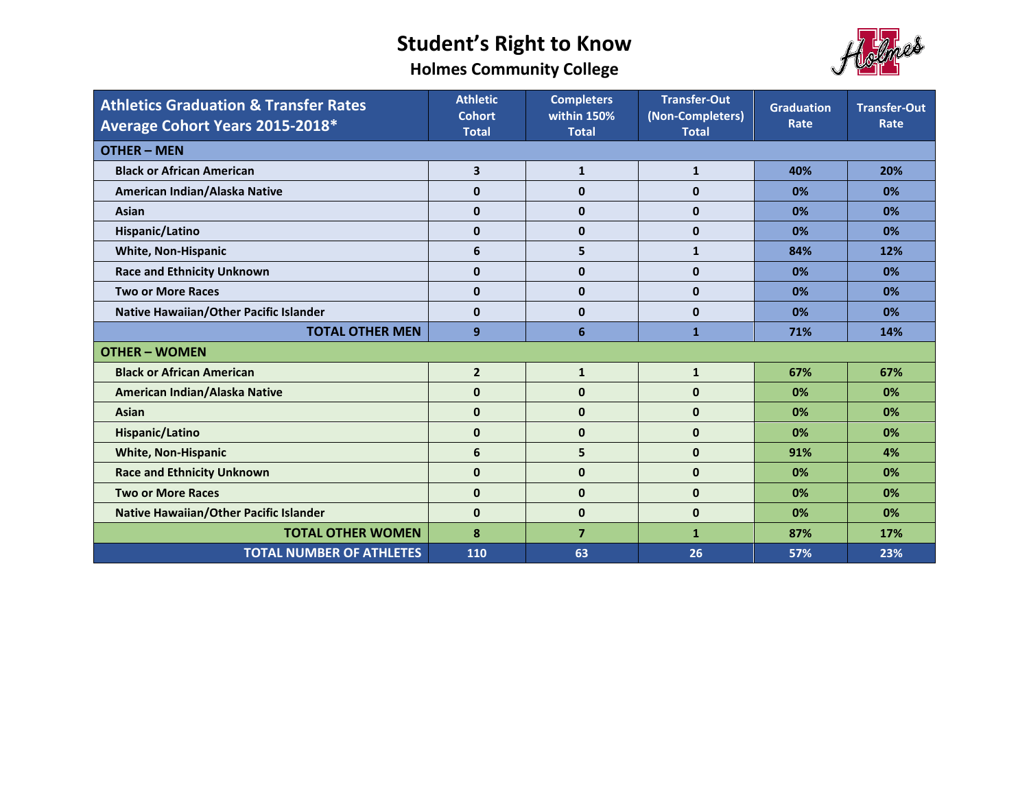



| <b>Athletics Graduation &amp; Transfer Rates</b><br>Average Cohort Years 2015-2018* | <b>Athletic</b><br><b>Cohort</b><br><b>Total</b> | <b>Completers</b><br>within 150%<br><b>Total</b> | <b>Transfer-Out</b><br>(Non-Completers)<br><b>Total</b> | <b>Graduation</b><br>Rate | <b>Transfer-Out</b><br>Rate |  |
|-------------------------------------------------------------------------------------|--------------------------------------------------|--------------------------------------------------|---------------------------------------------------------|---------------------------|-----------------------------|--|
| <b>OTHER - MEN</b>                                                                  |                                                  |                                                  |                                                         |                           |                             |  |
| <b>Black or African American</b>                                                    | 3                                                | $\mathbf{1}$                                     | $\mathbf{1}$                                            | 40%                       | 20%                         |  |
| American Indian/Alaska Native                                                       | $\mathbf{0}$                                     | $\mathbf{0}$                                     | $\mathbf{0}$                                            | 0%                        | 0%                          |  |
| Asian                                                                               | $\mathbf{0}$                                     | $\mathbf{0}$                                     | $\mathbf{0}$                                            | 0%                        | 0%                          |  |
| Hispanic/Latino                                                                     | $\mathbf{0}$                                     | $\mathbf{0}$                                     | $\mathbf{0}$                                            | 0%                        | 0%                          |  |
| <b>White, Non-Hispanic</b>                                                          | 6                                                | 5                                                | $\mathbf{1}$                                            | 84%                       | 12%                         |  |
| <b>Race and Ethnicity Unknown</b>                                                   | $\mathbf 0$                                      | $\mathbf{0}$                                     | $\mathbf{0}$                                            | 0%                        | 0%                          |  |
| <b>Two or More Races</b>                                                            | $\mathbf{0}$                                     | $\mathbf{0}$                                     | $\mathbf{0}$                                            | 0%                        | 0%                          |  |
| Native Hawaiian/Other Pacific Islander                                              | $\mathbf{0}$                                     | $\mathbf{0}$                                     | $\mathbf 0$                                             | 0%                        | 0%                          |  |
| <b>TOTAL OTHER MEN</b>                                                              | 9                                                | $6\phantom{1}6$                                  | $\mathbf{1}$                                            | 71%                       | 14%                         |  |
| <b>OTHER - WOMEN</b>                                                                |                                                  |                                                  |                                                         |                           |                             |  |
| <b>Black or African American</b>                                                    | $\mathbf{2}$                                     | $\mathbf{1}$                                     | $\mathbf{1}$                                            | 67%                       | 67%                         |  |
| American Indian/Alaska Native                                                       | $\mathbf{0}$                                     | $\mathbf{0}$                                     | $\mathbf{0}$                                            | 0%                        | 0%                          |  |
| <b>Asian</b>                                                                        | $\mathbf{0}$                                     | $\mathbf{0}$                                     | $\mathbf{0}$                                            | 0%                        | 0%                          |  |
| Hispanic/Latino                                                                     | $\mathbf 0$                                      | $\mathbf 0$                                      | $\mathbf{0}$                                            | 0%                        | 0%                          |  |
| <b>White, Non-Hispanic</b>                                                          | 6                                                | 5                                                | $\mathbf{0}$                                            | 91%                       | 4%                          |  |
| <b>Race and Ethnicity Unknown</b>                                                   | $\mathbf 0$                                      | $\mathbf{0}$                                     | $\mathbf{0}$                                            | 0%                        | 0%                          |  |
| <b>Two or More Races</b>                                                            | $\mathbf 0$                                      | $\mathbf{0}$                                     | $\mathbf{0}$                                            | 0%                        | 0%                          |  |
| <b>Native Hawaiian/Other Pacific Islander</b>                                       | $\bf{0}$                                         | $\mathbf{0}$                                     | $\mathbf{0}$                                            | 0%                        | 0%                          |  |
| <b>TOTAL OTHER WOMEN</b>                                                            | 8                                                | $\overline{7}$                                   | $\mathbf{1}$                                            | 87%                       | 17%                         |  |
| <b>TOTAL NUMBER OF ATHLETES</b>                                                     | 110                                              | 63                                               | 26                                                      | 57%                       | 23%                         |  |